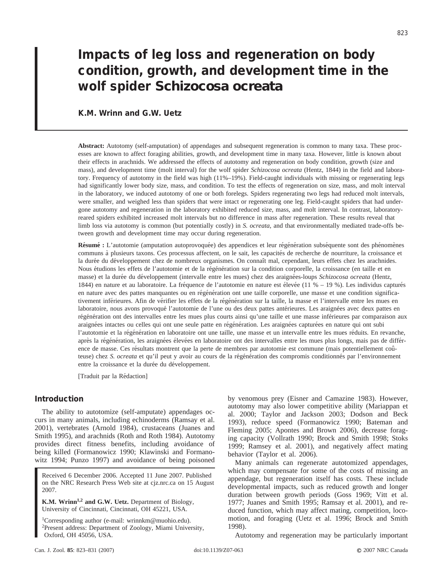# **Impacts of leg loss and regeneration on body condition, growth, and development time in the wolf spider** *Schizocosa ocreata*

# **K.M. Wrinn and G.W. Uetz**

**Abstract:** Autotomy (self-amputation) of appendages and subsequent regeneration is common to many taxa. These processes are known to affect foraging abilities, growth, and development time in many taxa. However, little is known about their effects in arachnids. We addressed the effects of autotomy and regeneration on body condition, growth (size and mass), and development time (molt interval) for the wolf spider *Schizocosa ocreata* (Hentz, 1844) in the field and laboratory. Frequency of autotomy in the field was high (11%–19%). Field-caught individuals with missing or regenerating legs had significantly lower body size, mass, and condition. To test the effects of regeneration on size, mass, and molt interval in the laboratory, we induced autotomy of one or both forelegs. Spiders regenerating two legs had reduced molt intervals, were smaller, and weighed less than spiders that were intact or regenerating one leg. Field-caught spiders that had undergone autotomy and regeneration in the laboratory exhibited reduced size, mass, and molt interval. In contrast, laboratoryreared spiders exhibited increased molt intervals but no difference in mass after regeneration. These results reveal that limb loss via autotomy is common (but potentially costly) in *S. ocreata*, and that environmentally mediated trade-offs between growth and development time may occur during regeneration.

Résumé : L'autotomie (amputation autoprovoquée) des appendices et leur régénération subséquente sont des phénomènes communs à plusieurs taxons. Ces processus affectent, on le sait, les capacités de recherche de nourriture, la croissance et la durée du développement chez de nombreux organismes. On connaît mal, cependant, leurs effets chez les arachnides. Nous étudions les effets de l'autotomie et de la régénération sur la condition corporelle, la croissance (en taille et en masse) et la durée du développement (intervalle entre les mues) chez des araignées-loups *Schizocosa ocreata* (Hentz, 1844) en nature et au laboratoire. La fréquence de l'autotomie en nature est élevée (11 % – 19 %). Les individus capturés en nature avec des pattes manquantes ou en régénération ont une taille corporelle, une masse et une condition significativement inférieures. Afin de vérifier les effets de la régénération sur la taille, la masse et l'intervalle entre les mues en laboratoire, nous avons provoqué l'autotomie de l'une ou des deux pattes antérieures. Les araignées avec deux pattes en régénération ont des intervalles entre les mues plus courts ainsi qu'une taille et une masse inférieures par comparaison aux araignées intactes ou celles qui ont une seule patte en régénération. Les araignées capturées en nature qui ont subi l'autotomie et la régénération en laboratoire ont une taille, une masse et un intervalle entre les mues réduits. En revanche, après la régénération, les araignées élevées en laboratoire ont des intervalles entre les mues plus longs, mais pas de différence de masse. Ces résultats montrent que la perte de membres par autotomie est commune (mais potentiellement coûteuse) chez *S. ocreata* et qu'il peut y avoir au cours de la régénération des compromis conditionnés par l'environnement entre la croissance et la durée du développement.

[Traduit par la Rédaction]

# **Introduction**

The ability to autotomize (self-amputate) appendages occurs in many animals, including echinoderms (Ramsay et al. 2001), vertebrates (Arnold 1984), crustaceans (Juanes and Smith 1995), and arachnids (Roth and Roth 1984). Autotomy provides direct fitness benefits, including avoidance of being killed (Formanowicz 1990; Klawinski and Formanowitz 1994; Punzo 1997) and avoidance of being poisoned

Received 6 December 2006. Accepted 11 June 2007. Published on the NRC Research Press Web site at cjz.nrc.ca on 15 August 2007.

**K.M. Wrinn1,2 and G.W. Uetz.** Department of Biology, University of Cincinnati, Cincinnati, OH 45221, USA.

1Corresponding author (e-mail: wrinnkm@muohio.edu). 2Present address: Department of Zoology, Miami University, Oxford, OH 45056, USA.

by venomous prey (Eisner and Camazine 1983). However, autotomy may also lower competitive ability (Mariappan et al. 2000; Taylor and Jackson 2003; Dodson and Beck 1993), reduce speed (Formanowicz 1990; Bateman and Fleming 2005; Apontes and Brown 2006), decrease foraging capacity (Vollrath 1990; Brock and Smith 1998; Stoks 1999; Ramsey et al. 2001), and negatively affect mating behavior (Taylor et al. 2006).

Many animals can regenerate autotomized appendages, which may compensate for some of the costs of missing an appendage, but regeneration itself has costs. These include developmental impacts, such as reduced growth and longer duration between growth periods (Goss 1969; Vitt et al. 1977; Juanes and Smith 1995; Ramsay et al. 2001), and reduced function, which may affect mating, competition, locomotion, and foraging (Uetz et al. 1996; Brock and Smith 1998).

Autotomy and regeneration may be particularly important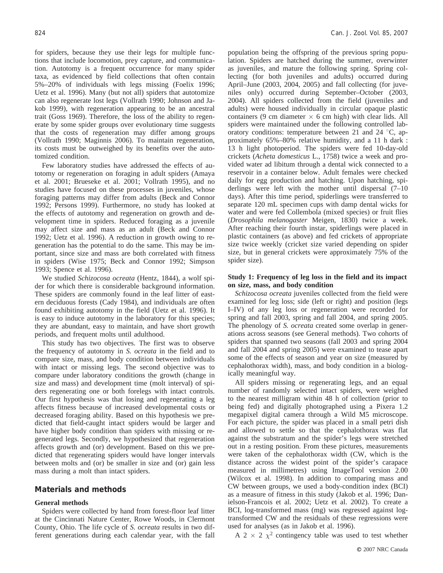for spiders, because they use their legs for multiple functions that include locomotion, prey capture, and communication. Autotomy is a frequent occurrence for many spider taxa, as evidenced by field collections that often contain 5%–20% of individuals with legs missing (Foelix 1996; Uetz et al. 1996). Many (but not all) spiders that autotomize can also regenerate lost legs (Vollrath 1990; Johnson and Jakob 1999), with regeneration appearing to be an ancestral trait (Goss 1969). Therefore, the loss of the ability to regenerate by some spider groups over evolutionary time suggests that the costs of regeneration may differ among groups (Vollrath 1990; Maginnis 2006). To maintain regeneration, its costs must be outweighed by its benefits over the autotomized condition.

Few laboratory studies have addressed the effects of autotomy or regeneration on foraging in adult spiders (Amaya et al. 2001; Brueseke et al. 2001; Vollrath 1995), and no studies have focused on these processes in juveniles, whose foraging patterns may differ from adults (Beck and Connor 1992; Persons 1999). Furthermore, no study has looked at the effects of autotomy and regeneration on growth and development time in spiders. Reduced foraging as a juvenile may affect size and mass as an adult (Beck and Connor 1992; Uetz et al. 1996). A reduction in growth owing to regeneration has the potential to do the same. This may be important, since size and mass are both correlated with fitness in spiders (Wise 1975; Beck and Connor 1992; Simpson 1993; Spence et al. 1996).

We studied *Schizocosa ocreata* (Hentz, 1844), a wolf spider for which there is considerable background information. These spiders are commonly found in the leaf litter of eastern deciduous forests (Cady 1984), and individuals are often found exhibiting autotomy in the field (Uetz et al. 1996). It is easy to induce autotomy in the laboratory for this species; they are abundant, easy to maintain, and have short growth periods, and frequent molts until adulthood.

This study has two objectives. The first was to observe the frequency of autotomy in *S. ocreata* in the field and to compare size, mass, and body condition between individuals with intact or missing legs. The second objective was to compare under laboratory conditions the growth (change in size and mass) and development time (molt interval) of spiders regenerating one or both forelegs with intact controls. Our first hypothesis was that losing and regenerating a leg affects fitness because of increased developmental costs or decreased foraging ability. Based on this hypothesis we predicted that field-caught intact spiders would be larger and have higher body condition than spiders with missing or regenerated legs. Secondly, we hypothesized that regeneration affects growth and (or) development. Based on this we predicted that regenerating spiders would have longer intervals between molts and (or) be smaller in size and (or) gain less mass during a molt than intact spiders.

## **Materials and methods**

#### **General methods**

Spiders were collected by hand from forest-floor leaf litter at the Cincinnati Nature Center, Rowe Woods, in Clermont County, Ohio. The life cycle of *S. ocreata* results in two different generations during each calendar year, with the fall population being the offspring of the previous spring population. Spiders are hatched during the summer, overwinter as juveniles, and mature the following spring. Spring collecting (for both juveniles and adults) occurred during April–June (2003, 2004, 2005) and fall collecting (for juveniles only) occurred during September–October (2003, 2004). All spiders collected from the field (juveniles and adults) were housed individually in circular opaque plastic containers (9 cm diameter  $\times$  6 cm high) with clear lids. All spiders were maintained under the following controlled laboratory conditions: temperature between 21 and 24 °C, approximately 65%–80% relative humidity, and a 11 h dark : 13 h light photoperiod. The spiders were fed 10-day-old crickets (*Acheta domesticus* L., 1758) twice a week and provided water ad libitum through a dental wick connected to a reservoir in a container below. Adult females were checked daily for egg production and hatching. Upon hatching, spiderlings were left with the mother until dispersal (7–10 days). After this time period, spiderlings were transferred to separate 120 mL specimen cups with damp dental wicks for water and were fed Collembola (mixed species) or fruit flies (*Drosophila melanogaster* Meigen, 1830) twice a week. After reaching their fourth instar, spiderlings were placed in plastic containers (as above) and fed crickets of appropriate size twice weekly (cricket size varied depending on spider size, but in general crickets were approximately 75% of the spider size).

#### **Study 1: Frequency of leg loss in the field and its impact on size, mass, and body condition**

*Schizocosa ocreata* juveniles collected from the field were examined for leg loss; side (left or right) and position (legs I–IV) of any leg loss or regeneration were recorded for spring and fall 2003, spring and fall 2004, and spring 2005. The phenology of *S. ocreata* created some overlap in generations across seasons (see General methods). Two cohorts of spiders that spanned two seasons (fall 2003 and spring 2004 and fall 2004 and spring 2005) were examined to tease apart some of the effects of season and year on size (measured by cephalothorax width), mass, and body condition in a biologically meaningful way.

All spiders missing or regenerating legs, and an equal number of randomly selected intact spiders, were weighed to the nearest milligram within 48 h of collection (prior to being fed) and digitally photographed using a Pixera 1.2 megapixel digital camera through a Wild M5 microscope. For each picture, the spider was placed in a small petri dish and allowed to settle so that the cephalothorax was flat against the substratum and the spider's legs were stretched out in a resting position. From these pictures, measurements were taken of the cephalothorax width (CW, which is the distance across the widest point of the spider's carapace measured in millimetres) using ImageTool version 2.00 (Wilcox et al. 1998). In addition to comparing mass and CW between groups, we used a body-condition index (BCI) as a measure of fitness in this study (Jakob et al. 1996; Danielson-Francois et al. 2002; Uetz et al. 2002). To create a BCI, log-transformed mass (mg) was regressed against logtransformed CW and the residuals of these regressions were used for analyses (as in Jakob et al. 1996).

A 2  $\times$  2  $\chi^2$  contingency table was used to test whether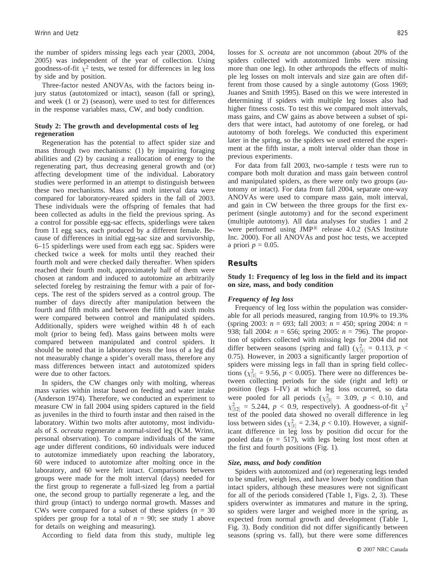the number of spiders missing legs each year (2003, 2004, 2005) was independent of the year of collection. Using goodness-of-fit  $\chi^2$  tests, we tested for differences in leg loss by side and by position.

Three-factor nested ANOVAs, with the factors being injury status (autotomized or intact), season (fall or spring), and week (1 or 2) (season), were used to test for differences in the response variables mass, CW, and body condition.

## **Study 2: The growth and developmental costs of leg regeneration**

Regeneration has the potential to affect spider size and mass through two mechanisms: (1) by impairing foraging abilities and (2) by causing a reallocation of energy to the regenerating part, thus decreasing general growth and (or) affecting development time of the individual. Laboratory studies were performed in an attempt to distinguish between these two mechanisms. Mass and molt interval data were compared for laboratory-reared spiders in the fall of 2003. These individuals were the offspring of females that had been collected as adults in the field the previous spring. As a control for possible egg-sac effects, spiderlings were taken from 11 egg sacs, each produced by a different female. Because of differences in initial egg-sac size and survivorship, 6–15 spiderlings were used from each egg sac. Spiders were checked twice a week for molts until they reached their fourth molt and were checked daily thereafter. When spiders reached their fourth molt, approximately half of them were chosen at random and induced to autotomize an arbitrarily selected foreleg by restraining the femur with a pair of forceps. The rest of the spiders served as a control group. The number of days directly after manipulation between the fourth and fifth molts and between the fifth and sixth molts were compared between control and manipulated spiders. Additionally, spiders were weighed within 48 h of each molt (prior to being fed). Mass gains between molts were compared between manipulated and control spiders. It should be noted that in laboratory tests the loss of a leg did not measurably change a spider's overall mass, therefore any mass differences between intact and autotomized spiders were due to other factors.

In spiders, the CW changes only with molting, whereas mass varies within instar based on feeding and water intake (Anderson 1974). Therefore, we conducted an experiment to measure CW in fall 2004 using spiders captured in the field as juveniles in the third to fourth instar and then raised in the laboratory. Within two molts after autotomy, most individuals of *S. ocreata* regenerate a normal-sized leg (K.M. Wrinn, personal observation). To compare individuals of the same age under different conditions, 60 individuals were induced to autotomize immediately upon reaching the laboratory, 60 were induced to autotomize after molting once in the laboratory, and 60 were left intact. Comparisons between groups were made for the molt interval (days) needed for the first group to regenerate a full-sized leg from a partial one, the second group to partially regenerate a leg, and the third group (intact) to undergo normal growth. Masses and CWs were compared for a subset of these spiders ( $n = 30$ ) spiders per group for a total of  $n = 90$ ; see study 1 above for details on weighing and measuring).

According to field data from this study, multiple leg

losses for *S. ocreata* are not uncommon (about 20% of the spiders collected with autotomized limbs were missing more than one leg). In other arthropods the effects of multiple leg losses on molt intervals and size gain are often different from those caused by a single autotomy (Goss 1969; Juanes and Smith 1995). Based on this we were interested in determining if spiders with multiple leg losses also had higher fitness costs. To test this we compared molt intervals, mass gains, and CW gains as above between a subset of spiders that were intact, had autotomy of one foreleg, or had autotomy of both forelegs. We conducted this experiment later in the spring, so the spiders we used entered the experiment at the fifth instar, a molt interval older than those in previous experiments.

For data from fall 2003, two-sample *t* tests were run to compare both molt duration and mass gain between control and manipulated spiders, as there were only two groups (autotomy or intact). For data from fall 2004, separate one-way ANOVAs were used to compare mass gain, molt interval, and gain in CW between the three groups for the first experiment (single autotomy) and for the second experiment (multiple autotomy). All data analyses for studies 1 and 2 were performed using JMP<sup>®</sup> release 4.0.2 (SAS Institute Inc. 2000). For all ANOVAs and post hoc tests, we accepted a priori  $p = 0.05$ .

#### **Results**

#### **Study 1: Frequency of leg loss in the field and its impact on size, mass, and body condition**

#### *Frequency of leg loss*

Frequency of leg loss within the population was considerable for all periods measured, ranging from 10.9% to 19.3% (spring 2003: *n* = 693; fall 2003: *n* = 450; spring 2004: *n* = 938; fall 2004: *n* = 656; spring 2005: *n* = 796). The proportion of spiders collected with missing legs for 2004 did not differ between seasons (spring and fall) ( $\chi^2_{[1]} = 0.113$ ,  $p <$ 0.75). However, in 2003 a significantly larger proportion of spiders were missing legs in fall than in spring field collections  $(\chi^2_{[1]} = 9.56, p < 0.005)$ . There were no differences between collecting periods for the side (right and left) or position (legs I–IV) at which leg loss occurred, so data were pooled for all periods  $(\chi^2_{[3]} = 3.09, p < 0.10,$  and  $\chi^2_{[12]} = 5.244$ ,  $p < 0.9$ , respectively). A goodness-of-fit  $\chi^2$ test of the pooled data showed no overall difference in leg loss between sides  $(\chi^2_{[1]} = 2.34, p < 0.10)$ . However, a significant difference in leg loss by position did occur for the pooled data (*n* = 517), with legs being lost most often at the first and fourth positions (Fig. 1).

#### *Size, mass, and body condition*

Spiders with autotomized and (or) regenerating legs tended to be smaller, weigh less, and have lower body condition than intact spiders, although these measures were not significant for all of the periods considered (Table 1, Figs. 2, 3). These spiders overwinter as immatures and mature in the spring, so spiders were larger and weighed more in the spring, as expected from normal growth and development (Table 1, Fig. 3). Body condition did not differ significantly between seasons (spring vs. fall), but there were some differences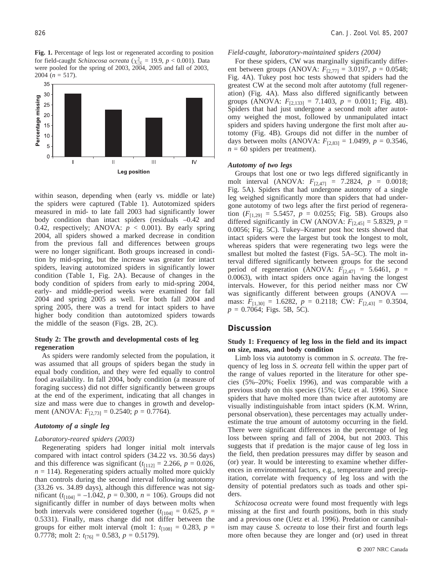**Fig. 1.** Percentage of legs lost or regenerated according to position for field-caught *Schizocosa ocreata* ( $\chi^2_{[3]}$  = 19.9, *p* < 0.001). Data were pooled for the spring of 2003, 2004, 2005 and fall of 2003, 2004 ( $n = 517$ ).



within season, depending when (early vs. middle or late) the spiders were captured (Table 1). Autotomized spiders measured in mid- to late fall 2003 had significantly lower body condition than intact spiders (residuals –0.42 and 0.42, respectively; ANOVA:  $p < 0.001$ ). By early spring 2004, all spiders showed a marked decrease in condition from the previous fall and differences between groups were no longer significant. Both groups increased in condition by mid-spring, but the increase was greater for intact spiders, leaving autotomized spiders in significantly lower condition (Table 1, Fig. 2A). Because of changes in the body condition of spiders from early to mid-spring 2004, early- and middle-period weeks were examined for fall 2004 and spring 2005 as well. For both fall 2004 and spring 2005, there was a trend for intact spiders to have higher body condition than autotomized spiders towards the middle of the season (Figs. 2B, 2C).

#### **Study 2: The growth and developmental costs of leg regeneration**

As spiders were randomly selected from the population, it was assumed that all groups of spiders began the study in equal body condition, and they were fed equally to control food availability. In fall 2004, body condition (a measure of foraging success) did not differ significantly between groups at the end of the experiment, indicating that all changes in size and mass were due to changes in growth and development (ANOVA:  $F_{[2,73]} = 0.2540$ ;  $p = 0.7764$ ).

## *Autotomy of a single leg*

#### *Laboratory-reared spiders (2003)*

Regenerating spiders had longer initial molt intervals compared with intact control spiders (34.22 vs. 30.56 days) and this difference was significant  $(t_{112} = 2.266, p = 0.026,$  $n = 114$ ). Regenerating spiders actually molted more quickly than controls during the second interval following autotomy (33.26 vs. 34.89 days), although this difference was not significant  $(t_{[104]} = -1.042, p = 0.300, n = 106)$ . Groups did not significantly differ in number of days between molts when both intervals were considered together  $(t_{104} = 0.625, p =$ 0.5331). Finally, mass change did not differ between the groups for either molt interval (molt 1:  $t_{[108]} = 0.283$ ,  $p =$ 0.7778; molt 2: *t*[76] = 0.583, *p* = 0.5179).

#### *Field-caught, laboratory-maintained spiders (2004)*

For these spiders, CW was marginally significantly different between groups (ANOVA: *F*[2,77] = 3.0197, *p* = 0.0548; Fig. 4A). Tukey post hoc tests showed that spiders had the greatest CW at the second molt after autotomy (full regeneration) (Fig. 4A). Mass also differed significantly between groups (ANOVA:  $F_{[2,133]} = 7.1403$ ,  $p = 0.0011$ ; Fig. 4B). Spiders that had just undergone a second molt after autotomy weighed the most, followed by unmanipulated intact spiders and spiders having undergone the first molt after autotomy (Fig. 4B). Groups did not differ in the number of days between molts (ANOVA:  $F_{[2,83]} = 1.0499$ ,  $p = 0.3546$ ,  $n = 60$  spiders per treatment).

#### *Autotomy of two legs*

Groups that lost one or two legs differed significantly in molt interval (ANOVA: *F*[2,47] = 7.2824, *p* = 0.0018; Fig. 5A). Spiders that had undergone autotomy of a single leg weighed significantly more than spiders that had undergone autotomy of two legs after the first period of regeneration  $(F_{[1,29]} = 5.5457, p = 0.0255; Fig. 5B)$ . Groups also differed significantly in CW (ANOVA:  $F_{[2,45]} = 5.8329$ ,  $p =$ 0.0056; Fig. 5C). Tukey–Kramer post hoc tests showed that intact spiders were the largest but took the longest to molt, whereas spiders that were regenerating two legs were the smallest but molted the fastest (Figs. 5A–5C). The molt interval differed significantly between groups for the second period of regeneration (ANOVA:  $F_{[2,47]} = 5.6461$ ,  $p =$ 0.0063), with intact spiders once again having the longest intervals. However, for this period neither mass nor CW was significantly different between groups (ANOVA mass:  $F_{[1,30]} = 1.6282$ ,  $p = 0.2118$ ; CW:  $F_{[2,43]} = 0.3504$ , *p* = 0.7064; Figs. 5B, 5C).

#### **Discussion**

#### **Study 1: Frequency of leg loss in the field and its impact on size, mass, and body condition**

Limb loss via autotomy is common in *S. ocreata*. The frequency of leg loss in *S. ocreata* fell within the upper part of the range of values reported in the literature for other species (5%–20%; Foelix 1996), and was comparable with a previous study on this species (15%; Uetz et al. 1996). Since spiders that have molted more than twice after autotomy are visually indistinguishable from intact spiders (K.M. Wrinn, personal observation), these percentages may actually underestimate the true amount of autotomy occurring in the field. There were significant differences in the percentage of leg loss between spring and fall of 2004, but not 2003. This suggests that if predation is the major cause of leg loss in the field, then predation pressures may differ by season and (or) year. It would be interesting to examine whether differences in environmental factors, e.g., temperature and precipitation, correlate with frequency of leg loss and with the density of potential predators such as toads and other spiders.

*Schizocosa ocreata* were found most frequently with legs missing at the first and fourth positions, both in this study and a previous one (Uetz et al. 1996). Predation or cannibalism may cause *S. ocreata* to lose their first and fourth legs more often because they are longer and (or) used in threat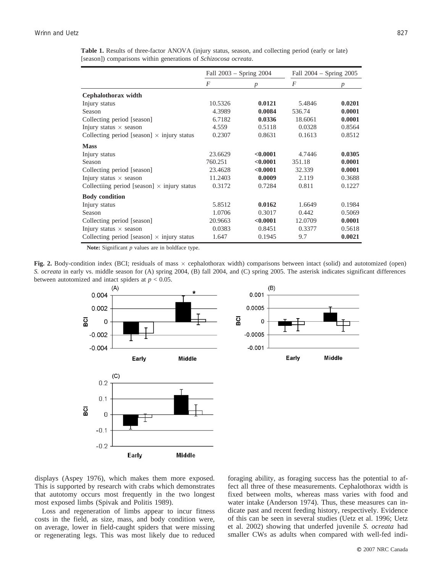| Table 1. Results of three-factor ANOVA (injury status, season, and collecting period (early or late) |  |  |  |  |  |  |
|------------------------------------------------------------------------------------------------------|--|--|--|--|--|--|
| [season]) comparisons within generations of <i>Schizocosa ocreata</i> .                              |  |  |  |  |  |  |

|                                                    |         | Fall $2003 -$ Spring $2004$ | Fall 2004 - Spring 2005 |                  |  |
|----------------------------------------------------|---------|-----------------------------|-------------------------|------------------|--|
|                                                    | F       | $\boldsymbol{p}$            | $\overline{F}$          | $\boldsymbol{p}$ |  |
| Cephalothorax width                                |         |                             |                         |                  |  |
| Injury status                                      | 10.5326 | 0.0121                      | 5.4846                  | 0.0201           |  |
| Season                                             | 4.3989  | 0.0084                      | 536.74                  | 0.0001           |  |
| Collecting period [season]                         | 6.7182  | 0.0336                      | 18.6061                 | 0.0001           |  |
| Injury status $\times$ season                      | 4.559   | 0.5118                      | 0.0328                  | 0.8564           |  |
| Collecting period [season] $\times$ injury status  | 0.2307  | 0.8631                      | 0.1613                  | 0.8512           |  |
| <b>Mass</b>                                        |         |                             |                         |                  |  |
| Injury status                                      | 23.6629 | < 0.0001                    | 4.7446                  | 0.0305           |  |
| Season                                             | 760.251 | < 0.0001                    | 351.18                  | 0.0001           |  |
| Collecting period [season]                         | 23.4628 | < 0.0001                    | 32.339                  | 0.0001           |  |
| Injury status $\times$ season                      | 11.2403 | 0.0009                      | 2.119                   | 0.3688           |  |
| Collectiing period [season] $\times$ injury status | 0.3172  | 0.7284                      | 0.811                   | 0.1227           |  |
| <b>Body condition</b>                              |         |                             |                         |                  |  |
| Injury status                                      | 5.8512  | 0.0162                      | 1.6649                  | 0.1984           |  |
| Season                                             | 1.0706  | 0.3017                      | 0.442                   | 0.5069           |  |
| Collecting period [season]                         | 20.9663 | < 0.0001                    | 12.0709                 | 0.0001           |  |
| Injury status $\times$ season                      | 0.0383  | 0.8451                      | 0.3377                  | 0.5618           |  |
| Collecting period [season] $\times$ injury status  | 1.647   | 0.1945                      | 9.7                     | 0.0021           |  |

**Note:** Significant *p* values are in boldface type.

**Fig. 2.** Body-condition index (BCI; residuals of mass  $\times$  cephalothorax width) comparisons between intact (solid) and autotomized (open) *S. ocreata* in early vs. middle season for (A) spring 2004, (B) fall 2004, and (C) spring 2005. The asterisk indicates significant differences between autotomized and intact spiders at  $p < 0.05$ .



displays (Aspey 1976), which makes them more exposed. This is supported by research with crabs which demonstrates that autotomy occurs most frequently in the two longest most exposed limbs (Spivak and Politis 1989).

Loss and regeneration of limbs appear to incur fitness costs in the field, as size, mass, and body condition were, on average, lower in field-caught spiders that were missing or regenerating legs. This was most likely due to reduced foraging ability, as foraging success has the potential to affect all three of these measurements. Cephalothorax width is fixed between molts, whereas mass varies with food and water intake (Anderson 1974). Thus, these measures can indicate past and recent feeding history, respectively. Evidence of this can be seen in several studies (Uetz et al. 1996; Uetz et al. 2002) showing that underfed juvenile *S. ocreata* had smaller CWs as adults when compared with well-fed indi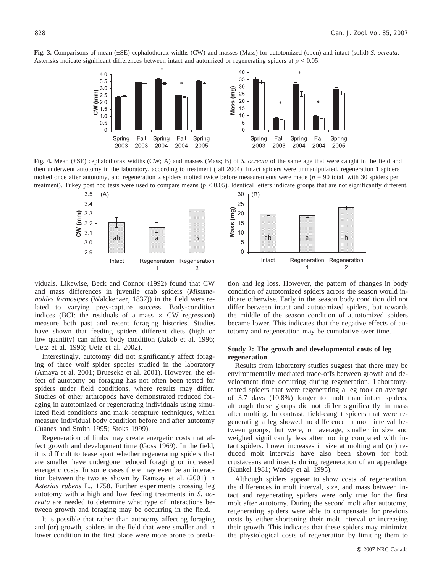**Fig. 3.** Comparisons of mean (±SE) cephalothorax widths (CW) and masses (Mass) for autotomized (open) and intact (solid) *S. ocreata*. Asterisks indicate significant differences between intact and automized or regenerating spiders at *p* < 0.05.



**Fig. 4.** Mean (±SE) cephalothorax widths (CW; A) and masses (Mass; B) of *S. ocreata* of the same age that were caught in the field and then underwent autotomy in the laboratory, according to treatment (fall 2004). Intact spiders were unmanipulated, regeneration 1 spiders molted once after autotomy, and regeneration 2 spiders molted twice before measurements were made (*n* = 90 total, with 30 spiders per treatment). Tukey post hoc tests were used to compare means (*p* < 0.05). Identical letters indicate groups that are not significantly different.



viduals. Likewise, Beck and Connor (1992) found that CW and mass differences in juvenile crab spiders (*Misumenoides formosipes* (Walckenaer, 1837)) in the field were related to varying prey-capture success. Body-condition indices (BCI: the residuals of a mass  $\times$  CW regression) measure both past and recent foraging histories. Studies have shown that feeding spiders different diets (high or low quantity) can affect body condition (Jakob et al. 1996; Uetz et al. 1996; Uetz et al. 2002).

Interestingly, autotomy did not significantly affect foraging of three wolf spider species studied in the laboratory (Amaya et al. 2001; Brueseke et al. 2001). However, the effect of autotomy on foraging has not often been tested for spiders under field conditions, where results may differ. Studies of other arthropods have demonstrated reduced foraging in autotomized or regenerating individuals using simulated field conditions and mark–recapture techniques, which measure individual body condition before and after autotomy (Juanes and Smith 1995; Stoks 1999).

Regeneration of limbs may create energetic costs that affect growth and development time (Goss 1969). In the field, it is difficult to tease apart whether regenerating spiders that are smaller have undergone reduced foraging or increased energetic costs. In some cases there may even be an interaction between the two as shown by Ramsay et al. (2001) in *Asterias rubens* L., 1758. Further experiments crossing leg autotomy with a high and low feeding treatments in *S. ocreata* are needed to determine what type of interactions between growth and foraging may be occurring in the field.

It is possible that rather than autotomy affecting foraging and (or) growth, spiders in the field that were smaller and in lower condition in the first place were more prone to preda-



tion and leg loss. However, the pattern of changes in body condition of autotomized spiders across the season would indicate otherwise. Early in the season body condition did not differ between intact and autotomized spiders, but towards the middle of the season condition of autotomized spiders became lower. This indicates that the negative effects of autotomy and regeneration may be cumulative over time.

# **Study 2: The growth and developmental costs of leg regeneration**

Results from laboratory studies suggest that there may be environmentally mediated trade-offs between growth and development time occurring during regeneration. Laboratoryreared spiders that were regenerating a leg took an average of 3.7 days (10.8%) longer to molt than intact spiders, although these groups did not differ significantly in mass after molting. In contrast, field-caught spiders that were regenerating a leg showed no difference in molt interval between groups, but were, on average, smaller in size and weighed significantly less after molting compared with intact spiders. Lower increases in size at molting and (or) reduced molt intervals have also been shown for both crustaceans and insects during regeneration of an appendage (Kunkel 1981; Waddy et al. 1995).

Although spiders appear to show costs of regeneration, the differences in molt interval, size, and mass between intact and regenerating spiders were only true for the first molt after autotomy. During the second molt after autotomy, regenerating spiders were able to compensate for previous costs by either shortening their molt interval or increasing their growth. This indicates that these spiders may minimize the physiological costs of regeneration by limiting them to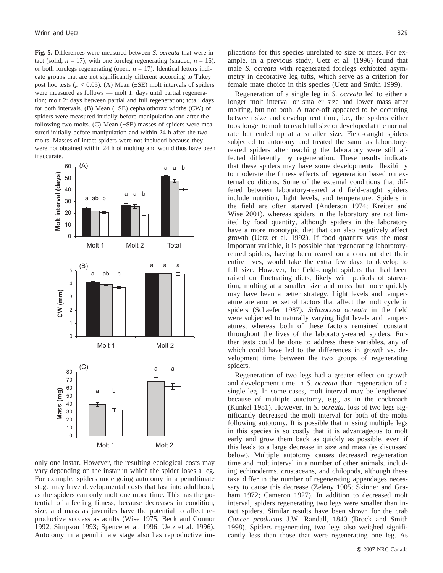**Fig. 5.** Differences were measured between *S. ocreata* that were intact (solid;  $n = 17$ ), with one foreleg regenerating (shaded;  $n = 16$ ), or both forelegs regenerating (open;  $n = 17$ ). Identical letters indicate groups that are not significantly different according to Tukey post hoc tests ( $p < 0.05$ ). (A) Mean ( $\pm$ SE) molt intervals of spiders were measured as follows — molt 1: days until partial regeneration; molt 2: days between partial and full regeneration; total: days for both intervals. (B) Mean  $(\pm SE)$  cephalothorax widths (CW) of spiders were measured initially before manipulation and after the following two molts. (C) Mean  $(\pm SE)$  masses of spiders were measured initially before manipulation and within 24 h after the two molts. Masses of intact spiders were not included because they were not obtained within 24 h of molting and would thus have been inaccurate.



only one instar. However, the resulting ecological costs may vary depending on the instar in which the spider loses a leg. For example, spiders undergoing autotomy in a penultimate stage may have developmental costs that last into adulthood, as the spiders can only molt one more time. This has the potential of affecting fitness, because decreases in condition, size, and mass as juveniles have the potential to affect reproductive success as adults (Wise 1975; Beck and Connor 1992; Simpson 1993; Spence et al. 1996; Uetz et al. 1996). Autotomy in a penultimate stage also has reproductive implications for this species unrelated to size or mass. For example, in a previous study, Uetz et al. (1996) found that male *S. ocreata* with regenerated forelegs exhibited asymmetry in decorative leg tufts, which serve as a criterion for female mate choice in this species (Uetz and Smith 1999).

Regeneration of a single leg in *S. ocreata* led to either a longer molt interval or smaller size and lower mass after molting, but not both. A trade-off appeared to be occurring between size and development time, i.e., the spiders either took longer to molt to reach full size or developed at the normal rate but ended up at a smaller size. Field-caught spiders subjected to autotomy and treated the same as laboratoryreared spiders after reaching the laboratory were still affected differently by regeneration. These results indicate that these spiders may have some developmental flexibility to moderate the fitness effects of regeneration based on external conditions. Some of the external conditions that differed between laboratory-reared and field-caught spiders include nutrition, light levels, and temperature. Spiders in the field are often starved (Anderson 1974; Kreiter and Wise 2001), whereas spiders in the laboratory are not limited by food quantity, although spiders in the laboratory have a more monotypic diet that can also negatively affect growth (Uetz et al. 1992). If food quantity was the most important variable, it is possible that regenerating laboratoryreared spiders, having been reared on a constant diet their entire lives, would take the extra few days to develop to full size. However, for field-caught spiders that had been raised on fluctuating diets, likely with periods of starvation, molting at a smaller size and mass but more quickly may have been a better strategy. Light levels and temperature are another set of factors that affect the molt cycle in spiders (Schaefer 1987). *Schizocosa ocreata* in the field were subjected to naturally varying light levels and temperatures, whereas both of these factors remained constant throughout the lives of the laboratory-reared spiders. Further tests could be done to address these variables, any of which could have led to the differences in growth vs. development time between the two groups of regenerating spiders.

Regeneration of two legs had a greater effect on growth and development time in *S. ocreata* than regeneration of a single leg. In some cases, molt interval may be lengthened because of multiple autotomy, e.g., as in the cockroach (Kunkel 1981). However, in *S. ocreata*, loss of two legs significantly decreased the molt interval for both of the molts following autotomy. It is possible that missing multiple legs in this species is so costly that it is advantageous to molt early and grow them back as quickly as possible, even if this leads to a large decrease in size and mass (as discussed below). Multiple autotomy causes decreased regeneration time and molt interval in a number of other animals, including echinoderms, crustaceans, and chilopods, although these taxa differ in the number of regenerating appendages necessary to cause this decrease (Zeleny 1905; Skinner and Graham 1972; Cameron 1927). In addition to decreased molt interval, spiders regenerating two legs were smaller than intact spiders. Similar results have been shown for the crab *Cancer productus* J.W. Randall, 1840 (Brock and Smith 1998). Spiders regenerating two legs also weighed significantly less than those that were regenerating one leg. As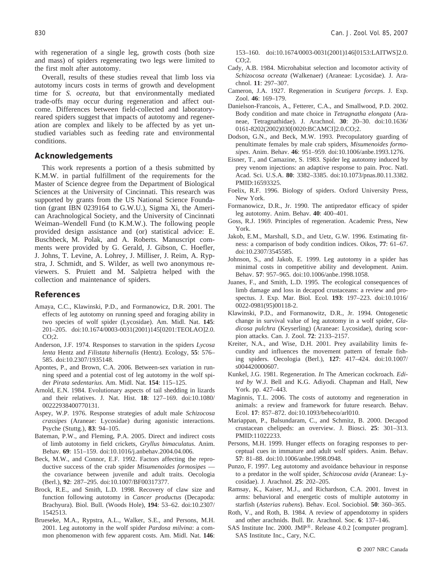with regeneration of a single leg, growth costs (both size and mass) of spiders regenerating two legs were limited to the first molt after autotomy.

Overall, results of these studies reveal that limb loss via autotomy incurs costs in terms of growth and development time for *S. ocreata*, but that environmentally mediated trade-offs may occur during regeneration and affect outcome. Differences between field-collected and laboratoryreared spiders suggest that impacts of autotomy and regeneration are complex and likely to be affected by as yet unstudied variables such as feeding rate and environmental conditions.

# **Acknowledgements**

This work represents a portion of a thesis submitted by K.M.W. in partial fulfillment of the requirements for the Master of Science degree from the Department of Biological Sciences at the University of Cincinnati. This research was supported by grants from the US National Science Foundation (grant IBN 0239164 to G.W.U.), Sigma Xi, the American Arachnological Society, and the University of Cincinnati Weiman–Wendell Fund (to K.M.W.). The following people provided design assistance and (or) statistical advice: E. Buschbeck, M. Polak, and A. Roberts. Manuscript comments were provided by G. Gerald, J. Gibson, C. Hoefler, J. Johns, T. Levine, A. Lohrey, J. Milliser, J. Reim, A. Rypstra, J. Schmidt, and S. Wilder, as well two anonymous reviewers. S. Pruiett and M. Salpietra helped with the collection and maintenance of spiders.

# **References**

- Amaya, C.C., Klawinski, P.D., and Formanowicz, D.R. 2001. The effects of leg autotomy on running speed and foraging ability in two species of wolf spider (Lycosidae). Am. Midl. Nat. **145**: 201–205. doi:10.1674/0003-0031(2001)145[0201:TEOLAO]2.0.  $CO:2.$
- Anderson, J.F. 1974. Responses to starvation in the spiders *Lycosa lenta* Hentz and *Filistata hibernalis* (Hentz). Ecology, **55**: 576– 585. doi:10.2307/1935148.
- Apontes, P., and Brown, C.A. 2006. Between-sex variation in running speed and a potential cost of leg autotomy in the wolf spider *Pirata sedentarius*. Am. Midl. Nat. **154**: 115–125.
- Arnold, E.N. 1984. Evolutionary aspects of tail shedding in lizards and their relatives. J. Nat. Hist. **18**: 127–169. doi:10.1080/ 00222938400770131.
- Aspey, W.P. 1976. Response strategies of adult male *Schizocosa crassipes* (Araneae: Lycosidae) during agonistic interactions. Psyche (Stuttg.), **83**: 94–105.
- Bateman, P.W., and Fleming, P.A. 2005. Direct and indirect costs of limb autotomy in field crickets, *Gryllus bimaculatus*. Anim. Behav. **69**: 151–159. doi:10.1016/j.anbehav.2004.04.006.
- Beck, M.W., and Connor, E.F. 1992. Factors affecting the reproductive success of the crab spider *Misumenoides formosipes* the covariance between juvenile and adult traits. Oecologia (Berl.), **92**: 287–295. doi:10.1007/BF00317377.
- Brock, R.E., and Smith, L.D. 1998. Recovery of claw size and function following autotomy in *Cancer productus* (Decapoda: Brachyura). Biol. Bull. (Woods Hole), **194**: 53–62. doi:10.2307/ 1542513.
- Brueseke, M.A., Rypstra, A.L., Walker, S.E., and Persons, M.H. 2001. Leg autotomy in the wolf spider *Pardosa milvina*: a common phenomenon with few apparent costs. Am. Midl. Nat. **146**:

153–160. doi:10.1674/0003-0031(2001)146[0153:LAITWS]2.0. CO;2.

- Cady, A.B. 1984. Microhabitat selection and locomotor activity of *Schizocosa ocreata* (Walkenaer) (Araneae: Lycosidae). J. Arachnol. **11**: 297–307.
- Cameron, J.A. 1927. Regeneration in *Scutigera forceps*. J. Exp. Zool. **46**: 169–179.
- Danielson-Francois, A., Fetterer, C.A., and Smallwood, P.D. 2002. Body condition and mate choice in *Tetragnatha elongata* (Araneae, Tetragnathidae). J. Arachnol. **30**: 20–30. doi:10.1636/ 0161-8202(2002)030[0020:BCAMCI]2.0.CO;2.
- Dodson, G.N., and Beck, M.W. 1993. Precopulatory guarding of penultimate females by male crab spiders, *Misumenoides formosipes*. Anim. Behav. **46**: 951–959. doi:10.1006/anbe.1993.1276.
- Eisner, T., and Camazine, S. 1983. Spider leg autotomy induced by prey venom injections: an adaptive response to pain. Proc. Natl. Acad. Sci. U.S.A. **80**: 3382–3385. doi:10.1073/pnas.80.11.3382. PMID:16593325.
- Foelix, R.F. 1996. Biology of spiders. Oxford University Press, New York.
- Formanowicz, D.R., Jr. 1990. The antipredator efficacy of spider leg autotomy. Anim. Behav. **40**: 400–401.
- Goss, R.J. 1969. Principles of regeneration. Academic Press, New York.
- Jakob, E.M., Marshall, S.D., and Uetz, G.W. 1996. Estimating fitness: a comparison of body condition indices. Oikos, **77**: 61–67. doi:10.2307/3545585.
- Johnson, S., and Jakob, E. 1999. Leg autotomy in a spider has minimal costs in competitive ability and development. Anim. Behav. **57**: 957–965. doi:10.1006/anbe.1998.1058.
- Juanes, F., and Smith, L.D. 1995. The ecological consequences of limb damage and loss in decapod crustaceans: a review and prospectus. J. Exp. Mar. Biol. Ecol. **193**: 197–223. doi:10.1016/ 0022-0981(95)00118-2.
- Klawinski, P.D., and Formanowitz, D.R., Jr. 1994. Ontogenetic change in survival value of leg autotomy in a wolf spider, *Gladicosa pulchra* (Keyserling) (Araneae: Lycosidae), during scorpion attacks. Can. J. Zool. **72**: 2133–2157.
- Kreiter, N.A., and Wise, D.H. 2001. Prey availability limits fecundity and influences the movement pattern of female fishing spiders. Oecologia (Berl.), **127**: 417–424. doi:10.1007/ s004420000607.
- Kunkel, J.G. 1981. Regeneration. *In* The American cockroach. *Edited by* W.J. Bell and K.G. Adiyodi. Chapman and Hall, New York. pp. 427–443.
- Maginnis, T.L. 2006. The costs of autotomy and regeneration in animals: a review and framework for future research. Behav. Ecol. **17**: 857–872. doi:10.1093/beheco/arl010.
- Mariappan, P., Balsundaram, C., and Schmitz, B. 2000. Decapod crustacean chelipeds: an overview. J. Biosci. **25**: 301–313. PMID:11022233.
- Persons, M.H. 1999. Hunger effects on foraging responses to perceptual cues in immature and adult wolf spiders. Anim. Behav. **57**: 81–88. doi:10.1006/anbe.1998.0948.
- Punzo, F. 1997. Leg autotomy and avoidance behaviour in response to a predator in the wolf spider, *Schizocosa avida* (Araneae: Lycosidae). J. Arachnol. **25**: 202–205.
- Ramsay, K., Kaiser, M.J., and Richardson, C.A. 2001. Invest in arms: behavioral and energetic costs of multiple autotomy in starfish (*Asterias rubens*). Behav. Ecol. Sociobiol. **50**: 360–365.
- Roth, V., and Roth, B. 1984. A review of appendotomy in spiders and other arachnids. Bull. Br. Arachnol. Soc. **6**: 137–146.
- SAS Institute Inc. 2000. JMP<sup>®</sup>. Release 4.0.2 [computer program]. SAS Institute Inc., Cary, N.C.